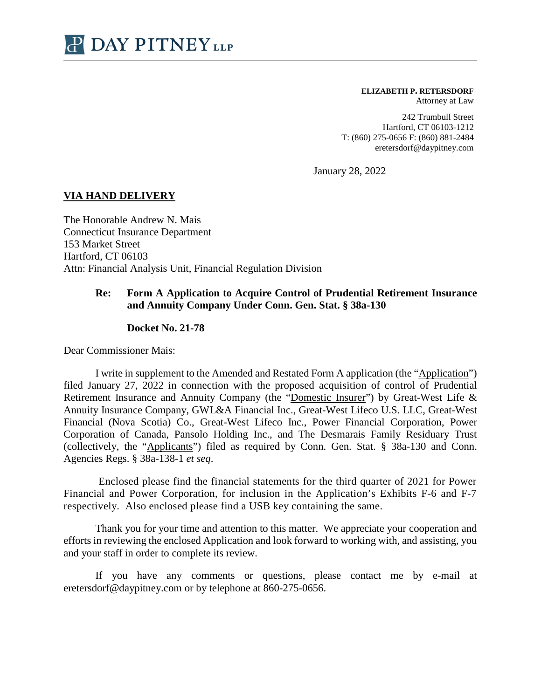

## **ELIZABETH P. RETERSDORF**

Attorney at Law

242 Trumbull Street Hartford, CT 06103-1212 T: (860) 275-0656 F: (860) 881-2484 eretersdorf@daypitney.com

January 28, 2022

## **VIA HAND DELIVERY**

The Honorable Andrew N. Mais Connecticut Insurance Department 153 Market Street Hartford, CT 06103 Attn: Financial Analysis Unit, Financial Regulation Division

## **Re: Form A Application to Acquire Control of Prudential Retirement Insurance and Annuity Company Under Conn. Gen. Stat. § 38a-130**

## **Docket No. 21-78**

Dear Commissioner Mais:

I write in supplement to the Amended and Restated Form A application (the "Application") filed January 27, 2022 in connection with the proposed acquisition of control of Prudential Retirement Insurance and Annuity Company (the "Domestic Insurer") by Great-West Life & Annuity Insurance Company, GWL&A Financial Inc., Great-West Lifeco U.S. LLC, Great-West Financial (Nova Scotia) Co., Great-West Lifeco Inc., Power Financial Corporation, Power Corporation of Canada, Pansolo Holding Inc., and The Desmarais Family Residuary Trust (collectively, the "Applicants") filed as required by Conn. Gen. Stat. § 38a-130 and Conn. Agencies Regs. § 38a-138-1 *et seq*.

Enclosed please find the financial statements for the third quarter of 2021 for Power Financial and Power Corporation, for inclusion in the Application's Exhibits F-6 and F-7 respectively. Also enclosed please find a USB key containing the same.

Thank you for your time and attention to this matter. We appreciate your cooperation and efforts in reviewing the enclosed Application and look forward to working with, and assisting, you and your staff in order to complete its review.

If you have any comments or questions, please contact me by e-mail at eretersdorf@daypitney.com or by telephone at 860-275-0656.